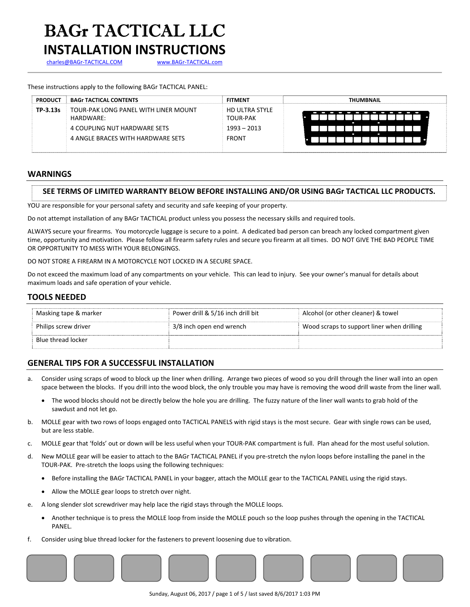### BAGr TACTICAL LLC **INSTALLATION INSTRUCTIONS**

charles@BAGr-TACTICAL.COM www.BAGr-TACTICAL.com

These instructions apply to the following BAGr TACTICAL PANEL:

| <b>PRODUCT</b> | <b>BAGr TACTICAL CONTENTS</b>        | <b>FITMENT</b>        | <b>THUMBNAIL</b>         |
|----------------|--------------------------------------|-----------------------|--------------------------|
| TP-3.13s       | TOUR-PAK LONG PANEL WITH LINER MOUNT | <b>HD ULTRA STYLE</b> | ı                        |
|                | HARDWARE:                            | <b>TOUR-PAK</b>       | $\overline{\phantom{a}}$ |
|                | 4 COUPLING NUT HARDWARE SETS         | $1993 - 2013$         | ۰                        |
|                | 4 ANGLE BRACES WITH HARDWARE SETS    | <b>FRONT</b>          | −                        |

#### **WARNINGS**

#### **SEE TERMS OF LIMITED WARRANTY BELOW BEFORE INSTALLING AND/OR USING BAGr TACTICAL LLC PRODUCTS.**

YOU are responsible for your personal safety and security and safe keeping of your property.

Do not attempt installation of any BAGr TACTICAL product unless you possess the necessary skills and required tools.

ALWAYS secure your firearms. You motorcycle luggage is secure to a point. A dedicated bad person can breach any locked compartment given time, opportunity and motivation. Please follow all firearm safety rules and secure you firearm at all times. DO NOT GIVE THE BAD PEOPLE TIME OR OPPORTUNITY TO MESS WITH YOUR BELONGINGS.

#### DO NOT STORE A FIREARM IN A MOTORCYCLE NOT LOCKED IN A SECURE SPACE.

Do not exceed the maximum load of any compartments on your vehicle. This can lead to injury. See your owner's manual for details about maximum loads and safe operation of your vehicle.

### **TOOLS NEEDED**

| Masking tape & marker | Power drill & 5/16 inch drill bit | Alcohol (or other cleaner) & towel         |
|-----------------------|-----------------------------------|--------------------------------------------|
| Philips screw driver  | 3/8 inch open end wrench          | Wood scraps to support liner when drilling |
| Blue thread locker    |                                   |                                            |

#### **GENERAL TIPS FOR A SUCCESSFUL INSTALLATION**

- a. Consider using scraps of wood to block up the liner when drilling. Arrange two pieces of wood so you drill through the liner wall into an open space between the blocks. If you drill into the wood block, the only trouble you may have is removing the wood drill waste from the liner wall.
	- The wood blocks should not be directly below the hole you are drilling. The fuzzy nature of the liner wall wants to grab hold of the sawdust and not let go.
- b. MOLLE gear with two rows of loops engaged onto TACTICAL PANELS with rigid stays is the most secure. Gear with single rows can be used, but are less stable.
- c. MOLLE gear that 'folds' out or down will be less useful when your TOUR‐PAK compartment is full. Plan ahead for the most useful solution.
- d. New MOLLE gear will be easier to attach to the BAGr TACTICAL PANEL if you pre‐stretch the nylon loops before installing the panel in the TOUR‐PAK. Pre‐stretch the loops using the following techniques:
	- Before installing the BAGr TACTICAL PANEL in your bagger, attach the MOLLE gear to the TACTICAL PANEL using the rigid stays.
	- Allow the MOLLE gear loops to stretch over night.
- e. A long slender slot screwdriver may help lace the rigid stays through the MOLLE loops.
	- Another technique is to press the MOLLE loop from inside the MOLLE pouch so the loop pushes through the opening in the TACTICAL PANEL.
- f. Consider using blue thread locker for the fasteners to prevent loosening due to vibration.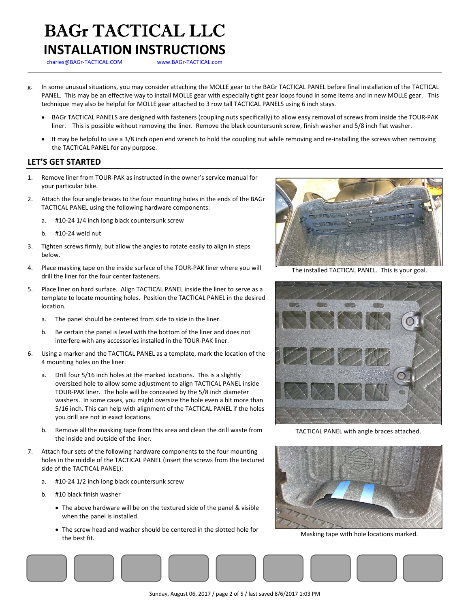## BAGr TACTICAL LLC

### **INSTALLATION INSTRUCTIONS**

charles@BAGr-TACTICAL.COM www.BAGr-TACTICAL.com

- g. In some unusual situations, you may consider attaching the MOLLE gear to the BAGr TACTICAL PANEL before final installation of the TACTICAL PANEL. This may be an effective way to install MOLLE gear with especially tight gear loops found in some items and in new MOLLE gear. This technique may also be helpful for MOLLE gear attached to 3 row tall TACTICAL PANELS using 6 inch stays.
	- BAGr TACTICAL PANELS are designed with fasteners (coupling nuts specifically) to allow easy removal of screws from inside the TOUR‐PAK liner. This is possible without removing the liner. Remove the black countersunk screw, finish washer and 5/8 inch flat washer.
	- It may be helpful to use a 3/8 inch open end wrench to hold the coupling nut while removing and re‐installing the screws when removing the TACTICAL PANEL for any purpose.

### **LET'S GET STARTED**

- 1. Remove liner from TOUR‐PAK as instructed in the owner's service manual for your particular bike.
- 2. Attach the four angle braces to the four mounting holes in the ends of the BAGr TACTICAL PANEL using the following hardware components:
	- a. #10‐24 1/4 inch long black countersunk screw
	- b. #10‐24 weld nut
- 3. Tighten screws firmly, but allow the angles to rotate easily to align in steps below.
- 4. Place masking tape on the inside surface of the TOUR-PAK liner where you will drill the liner for the four center fasteners.
- 5. Place liner on hard surface. Align TACTICAL PANEL inside the liner to serve as a template to locate mounting holes. Position the TACTICAL PANEL in the desired location.
	- a. The panel should be centered from side to side in the liner.
	- b. Be certain the panel is level with the bottom of the liner and does not interfere with any accessories installed in the TOUR‐PAK liner.
- 6. Using a marker and the TACTICAL PANEL as a template, mark the location of the 4 mounting holes on the liner.
	- a. Drill four 5/16 inch holes at the marked locations. This is a slightly oversized hole to allow some adjustment to align TACTICAL PANEL inside TOUR‐PAK liner. The hole will be concealed by the 5/8 inch diameter washers. In some cases, you might oversize the hole even a bit more than 5/16 inch. This can help with alignment of the TACTICAL PANEL if the holes you drill are not in exact locations.
	- b. Remove all the masking tape from this area and clean the drill waste from the inside and outside of the liner.
- 7. Attach four sets of the following hardware components to the four mounting holes in the middle of the TACTICAL PANEL (insert the screws from the textured side of the TACTICAL PANEL):
	- a. #10‐24 1/2 inch long black countersunk screw
	- b. #10 black finish washer
		- The above hardware will be on the textured side of the panel & visible when the panel is installed.
		- The screw head and washer should be centered in the slotted hole for the best fit.



The installed TACTICAL PANEL. This is your goal.



TACTICAL PANEL with angle braces attached.



Masking tape with hole locations marked.

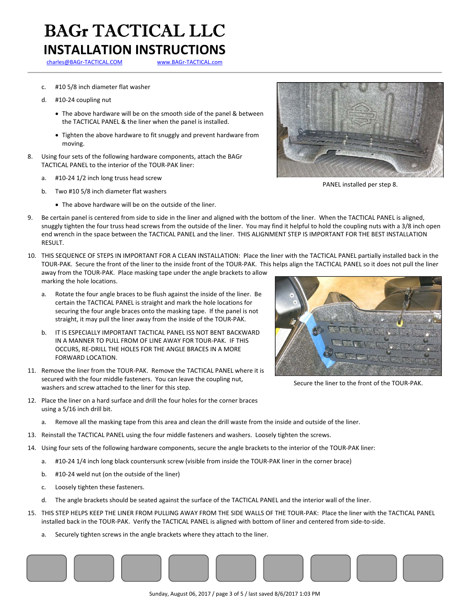### BAGr TACTICAL LLC **INSTALLATION INSTRUCTIONS**

charles@BAGr-TACTICAL.COM www.BAGr-TACTICAL.com

- c. #10 5/8 inch diameter flat washer
- d. #10‐24 coupling nut
	- The above hardware will be on the smooth side of the panel & between the TACTICAL PANEL & the liner when the panel is installed.
	- Tighten the above hardware to fit snuggly and prevent hardware from moving.
- 8. Using four sets of the following hardware components, attach the BAGr TACTICAL PANEL to the interior of the TOUR‐PAK liner:
	- a. #10‐24 1/2 inch long truss head screw
	- b. Two #10 5/8 inch diameter flat washers
		- The above hardware will be on the outside of the liner.



PANEL installed per step 8.

- 9. Be certain panel is centered from side to side in the liner and aligned with the bottom of the liner. When the TACTICAL PANEL is aligned, snuggly tighten the four truss head screws from the outside of the liner. You may find it helpful to hold the coupling nuts with a 3/8 inch open end wrench in the space between the TACTICAL PANEL and the liner. THIS ALIGNMENT STEP IS IMPORTANT FOR THE BEST INSTALLATION RESULT.
- 10. THIS SEQUENCE OF STEPS IN IMPORTANT FOR A CLEAN INSTALLATION: Place the liner with the TACTICAL PANEL partially installed back in the TOUR‐PAK. Secure the front of the liner to the inside front of the TOUR‐PAK. This helps align the TACTICAL PANEL so it does not pull the liner away from the TOUR‐PAK. Place masking tape under the angle brackets to allow marking the hole locations.
	- a. Rotate the four angle braces to be flush against the inside of the liner. Be certain the TACTICAL PANEL is straight and mark the hole locations for securing the four angle braces onto the masking tape. If the panel is not straight, it may pull the liner away from the inside of the TOUR‐PAK.
	- b. IT IS ESPECIALLY IMPORTANT TACTICAL PANEL ISS NOT BENT BACKWARD IN A MANNER TO PULL FROM OF LINE AWAY FOR TOUR‐PAK. IF THIS OCCURS, RE‐DRILL THE HOLES FOR THE ANGLE BRACES IN A MORE FORWARD LOCATION.
- 11. Remove the liner from the TOUR-PAK. Remove the TACTICAL PANEL where it is secured with the four middle fasteners. You can leave the coupling nut, washers and screw attached to the liner for this step.
- 12. Place the liner on a hard surface and drill the four holes for the corner braces using a 5/16 inch drill bit.



Secure the liner to the front of the TOUR‐PAK.

- a. Remove all the masking tape from this area and clean the drill waste from the inside and outside of the liner.
- 13. Reinstall the TACTICAL PANEL using the four middle fasteners and washers. Loosely tighten the screws.
- 14. Using four sets of the following hardware components, secure the angle brackets to the interior of the TOUR‐PAK liner:
	- a. #10‐24 1/4 inch long black countersunk screw (visible from inside the TOUR‐PAK liner in the corner brace)
	- b. #10‐24 weld nut (on the outside of the liner)
	- c. Loosely tighten these fasteners.
	- d. The angle brackets should be seated against the surface of the TACTICAL PANEL and the interior wall of the liner.
- 15. THIS STEP HELPS KEEP THE LINER FROM PULLING AWAY FROM THE SIDE WALLS OF THE TOUR‐PAK: Place the liner with the TACTICAL PANEL installed back in the TOUR‐PAK. Verify the TACTICAL PANEL is aligned with bottom of liner and centered from side‐to‐side.
	- a. Securely tighten screws in the angle brackets where they attach to the liner.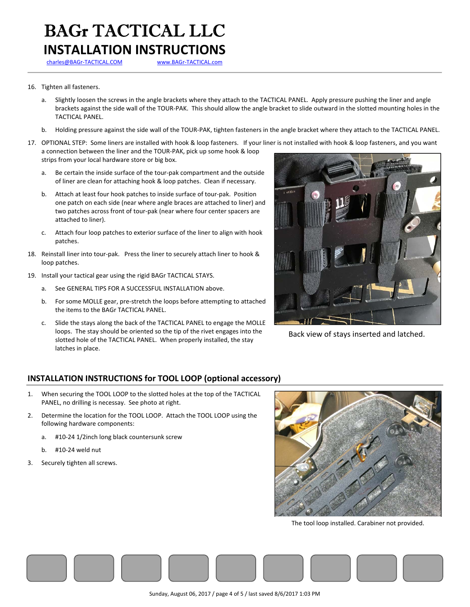### BAGr TACTICAL LLC **INSTALLATION INSTRUCTIONS**

charles@BAGr-TACTICAL.COM www.BAGr-TACTICAL.com

### 16. Tighten all fasteners.

- a. Slightly loosen the screws in the angle brackets where they attach to the TACTICAL PANEL. Apply pressure pushing the liner and angle brackets against the side wall of the TOUR‐PAK. This should allow the angle bracket to slide outward in the slotted mounting holes in the TACTICAL PANEL.
- b. Holding pressure against the side wall of the TOUR‐PAK, tighten fasteners in the angle bracket where they attach to the TACTICAL PANEL.
- 17. OPTIONAL STEP: Some liners are installed with hook & loop fasteners. If your liner is not installed with hook & loop fasteners, and you want a connection between the liner and the TOUR‐PAK, pick up some hook & loop strips from your local hardware store or big box.
	- a. Be certain the inside surface of the tour‐pak compartment and the outside of liner are clean for attaching hook & loop patches. Clean if necessary.
	- b. Attach at least four hook patches to inside surface of tour‐pak. Position one patch on each side (near where angle braces are attached to liner) and two patches across front of tour‐pak (near where four center spacers are attached to liner).
	- c. Attach four loop patches to exterior surface of the liner to align with hook patches.
- 18. Reinstall liner into tour-pak. Press the liner to securely attach liner to hook & loop patches.
- 19. Install your tactical gear using the rigid BAGr TACTICAL STAYS.
	- a. See GENERAL TIPS FOR A SUCCESSFUL INSTALLATION above.
	- b. For some MOLLE gear, pre‐stretch the loops before attempting to attached the items to the BAGr TACTICAL PANEL.
	- c. Slide the stays along the back of the TACTICAL PANEL to engage the MOLLE loops. The stay should be oriented so the tip of the rivet engages into the slotted hole of the TACTICAL PANEL. When properly installed, the stay latches in place.



Back view of stays inserted and latched.

### **INSTALLATION INSTRUCTIONS for TOOL LOOP (optional accessory)**

- 1. When securing the TOOL LOOP to the slotted holes at the top of the TACTICAL PANEL, no drilling is necessay. See photo at right.
- 2. Determine the location for the TOOL LOOP. Attach the TOOL LOOP using the following hardware components:
	- a. #10‐24 1/2inch long black countersunk screw
	- b. #10‐24 weld nut
- 3. Securely tighten all screws.



The tool loop installed. Carabiner not provided.